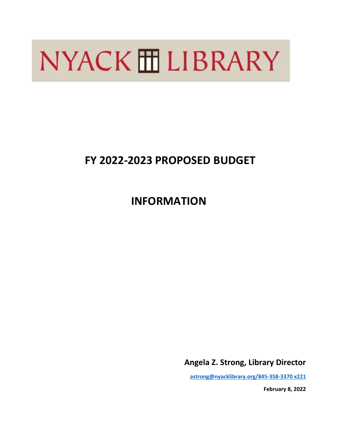# NYACK HILIBRARY

# **FY 2022-2023 PROPOSED BUDGET**

**INFORMATION** 

**Angela Z. Strong, Library Director**

**[astrong@nyacklibrary.org/845-358-3370 x221](mailto:astrong@nyacklibrary.org/845-358-3370%20x22)**

**February 8, 2022**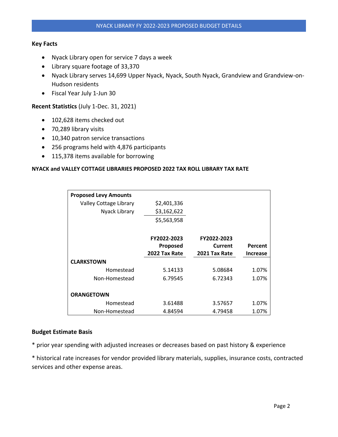#### **Key Facts**

- Nyack Library open for service 7 days a week
- Library square footage of 33,370
- Nyack Library serves 14,699 Upper Nyack, Nyack, South Nyack, Grandview and Grandview-on-Hudson residents
- Fiscal Year July 1-Jun 30

#### **Recent Statistics** (July 1-Dec. 31, 2021)

- 102,628 items checked out
- 70,289 library visits
- 10,340 patron service transactions
- 256 programs held with 4,876 participants
- 115,378 items available for borrowing

#### **NYACK and VALLEY COTTAGE LIBRARIES PROPOSED 2022 TAX ROLL LIBRARY TAX RATE**

| <b>Proposed Levy Amounts</b> |               |               |                 |
|------------------------------|---------------|---------------|-----------------|
| Valley Cottage Library       | \$2,401,336   |               |                 |
| Nyack Library                | \$3,162,622   |               |                 |
|                              | \$5,563,958   |               |                 |
|                              | FY2022-2023   | FY2022-2023   |                 |
|                              | Proposed      | Current       | Percent         |
|                              | 2022 Tax Rate | 2021 Tax Rate | <b>Increase</b> |
| <b>CLARKSTOWN</b>            |               |               |                 |
| Homestead                    | 5.14133       | 5.08684       | 1.07%           |
| Non-Homestead                | 6.79545       | 6.72343       | 1.07%           |
| <b>ORANGETOWN</b>            |               |               |                 |
| Homestead                    | 3.61488       | 3.57657       | 1.07%           |
| Non-Homestead                | 4.84594       | 4.79458       | 1.07%           |

#### **Budget Estimate Basis**

\* prior year spending with adjusted increases or decreases based on past history & experience

\* historical rate increases for vendor provided library materials, supplies, insurance costs, contracted services and other expense areas.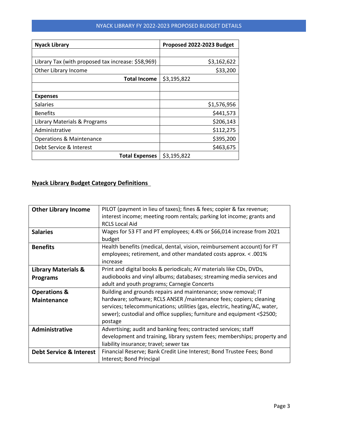| <b>Nyack Library</b>                               | Proposed 2022-2023 Budget |
|----------------------------------------------------|---------------------------|
|                                                    |                           |
| Library Tax (with proposed tax increase: \$58,969) | \$3,162,622               |
| Other Library Income                               | \$33,200                  |
| <b>Total Income</b>                                | \$3,195,822               |
|                                                    |                           |
| <b>Expenses</b>                                    |                           |
| <b>Salaries</b>                                    | \$1,576,956               |
| <b>Benefits</b>                                    | \$441,573                 |
| Library Materials & Programs                       | \$206,143                 |
| Administrative                                     | \$112,275                 |
| <b>Operations &amp; Maintenance</b>                | \$395,200                 |
| Debt Service & Interest                            | \$463,675                 |
| <b>Total Expenses</b>                              | \$3,195,822               |

## **Nyack Library Budget Category Definitions**

| <b>Other Library Income</b>        | PILOT (payment in lieu of taxes); fines & fees; copier & fax revenue;      |
|------------------------------------|----------------------------------------------------------------------------|
|                                    | interest income; meeting room rentals; parking lot income; grants and      |
|                                    | <b>RCLS Local Aid</b>                                                      |
|                                    |                                                                            |
| <b>Salaries</b>                    | Wages for 53 FT and PT employees; 4.4% or \$66,014 increase from 2021      |
|                                    | budget                                                                     |
| <b>Benefits</b>                    | Health benefits (medical, dental, vision, reimbursement account) for FT    |
|                                    | employees; retirement, and other mandated costs approx. < .001%            |
|                                    | increase                                                                   |
| <b>Library Materials &amp;</b>     | Print and digital books & periodicals; AV materials like CDs, DVDs,        |
| <b>Programs</b>                    | audiobooks and vinyl albums; databases; streaming media services and       |
|                                    | adult and youth programs; Carnegie Concerts                                |
| <b>Operations &amp;</b>            | Building and grounds repairs and maintenance; snow removal; IT             |
| <b>Maintenance</b>                 | hardware; software; RCLS ANSER / maintenance fees; copiers; cleaning       |
|                                    | services; telecommunications; utilities (gas, electric, heating/AC, water, |
|                                    | sewer); custodial and office supplies; furniture and equipment <\$2500;    |
|                                    | postage                                                                    |
| Administrative                     | Advertising; audit and banking fees; contracted services; staff            |
|                                    | development and training, library system fees; memberships; property and   |
|                                    | liability insurance; travel; sewer tax                                     |
| <b>Debt Service &amp; Interest</b> | Financial Reserve; Bank Credit Line Interest; Bond Trustee Fees; Bond      |
|                                    | Interest; Bond Principal                                                   |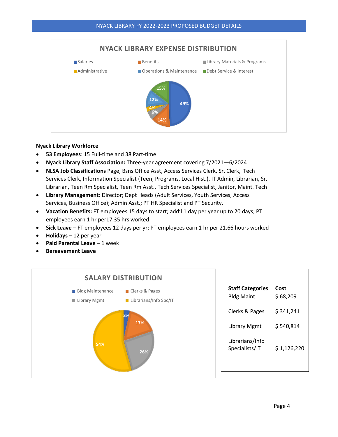

#### **Nyack Library Workforce**

- **53 Employees**: 15 Full-time and 38 Part-time
- **Nyack Library Staff Association:** Three-year agreement covering 7/2021—6/2024
- **NLSA Job Classifications** Page, Bsns Office Asst, Access Services Clerk, Sr. Clerk, Tech Services Clerk, Information Specialist (Teen, Programs, Local Hist.), IT Admin, Librarian, Sr. Librarian, Teen Rm Specialist, Teen Rm Asst., Tech Services Specialist, Janitor, Maint. Tech
- **Library Management:** Director; Dept Heads (Adult Services, Youth Services, Access Services, Business Office); Admin Asst.; PT HR Specialist and PT Security.
- **Vacation Benefits:** FT employees 15 days to start; add'l 1 day per year up to 20 days; PT employees earn 1 hr per17.35 hrs worked
- **Sick Leave** FT employees 12 days per yr; PT employees earn 1 hr per 21.66 hours worked
- **Holidays**  12 per year
- **Paid Parental Leave** 1 week
- **Bereavement Leave**

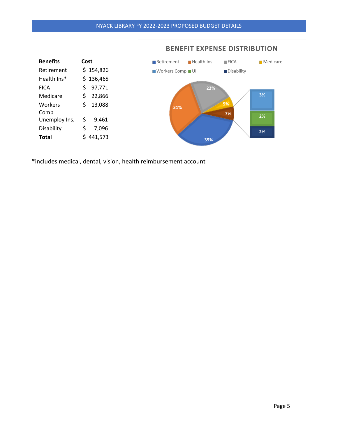

\*includes medical, dental, vision, health reimbursement account